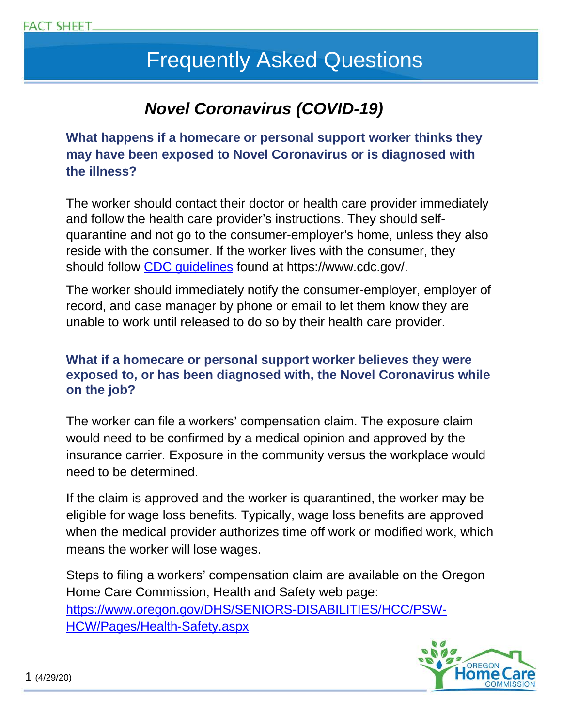# Frequently Asked Questions

# *Novel Coronavirus (COVID-19)*

**What happens if a homecare or personal support worker thinks they may have been exposed to Novel Coronavirus or is diagnosed with the illness?**

The worker should contact their doctor or health care provider immediately and follow the health care provider's instructions. They should selfquarantine and not go to the consumer-employer's home, unless they also reside with the consumer. If the worker lives with the consumer, they should follow [CDC guidelines](https://www.cdc.gov/coronavirus/2019-ncov/prevent-getting-sick/prevention.html?CDC_AA_refVal=https%3A%2F%2Fwww.cdc.gov%2Fcoronavirus%2F2019-ncov%2Fprepare%2Fprevention.html) found at https://www.cdc.gov/.

The worker should immediately notify the consumer-employer, employer of record, and case manager by phone or email to let them know they are unable to work until released to do so by their health care provider.

#### **What if a homecare or personal support worker believes they were exposed to, or has been diagnosed with, the Novel Coronavirus while on the job?**

The worker can file a workers' compensation claim. The exposure claim would need to be confirmed by a medical opinion and approved by the insurance carrier. Exposure in the community versus the workplace would need to be determined.

If the claim is approved and the worker is quarantined, the worker may be eligible for wage loss benefits. Typically, wage loss benefits are approved when the medical provider authorizes time off work or modified work, which means the worker will lose wages.

Steps to filing a workers' compensation claim are available on the Oregon Home Care Commission, Health and Safety web page: [https://www.oregon.gov/DHS/SENIORS-DISABILITIES/HCC/PSW-](https://www.oregon.gov/DHS/SENIORS-DISABILITIES/HCC/PSW-HCW/Pages/Health-Safety.aspx)[HCW/Pages/Health-Safety.aspx](https://www.oregon.gov/DHS/SENIORS-DISABILITIES/HCC/PSW-HCW/Pages/Health-Safety.aspx)

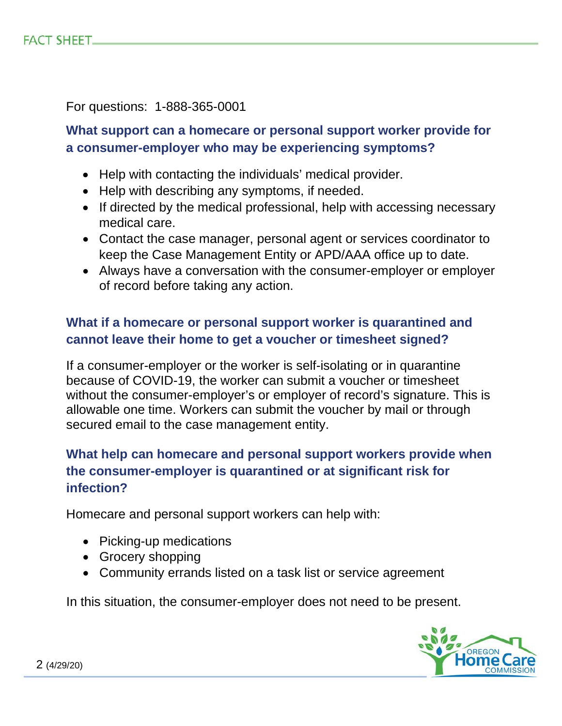For questions: 1-888-365-0001

# **What support can a homecare or personal support worker provide for a consumer-employer who may be experiencing symptoms?**

- Help with contacting the individuals' medical provider.
- Help with describing any symptoms, if needed.
- If directed by the medical professional, help with accessing necessary medical care.
- Contact the case manager, personal agent or services coordinator to keep the Case Management Entity or APD/AAA office up to date.
- Always have a conversation with the consumer-employer or employer of record before taking any action.

# **What if a homecare or personal support worker is quarantined and cannot leave their home to get a voucher or timesheet signed?**

If a consumer-employer or the worker is self-isolating or in quarantine because of COVID-19, the worker can submit a voucher or timesheet without the consumer-employer's or employer of record's signature. This is allowable one time. Workers can submit the voucher by mail or through secured email to the case management entity.

# **What help can homecare and personal support workers provide when the consumer-employer is quarantined or at significant risk for infection?**

Homecare and personal support workers can help with:

- Picking-up medications
- Grocery shopping
- Community errands listed on a task list or service agreement

In this situation, the consumer-employer does not need to be present.

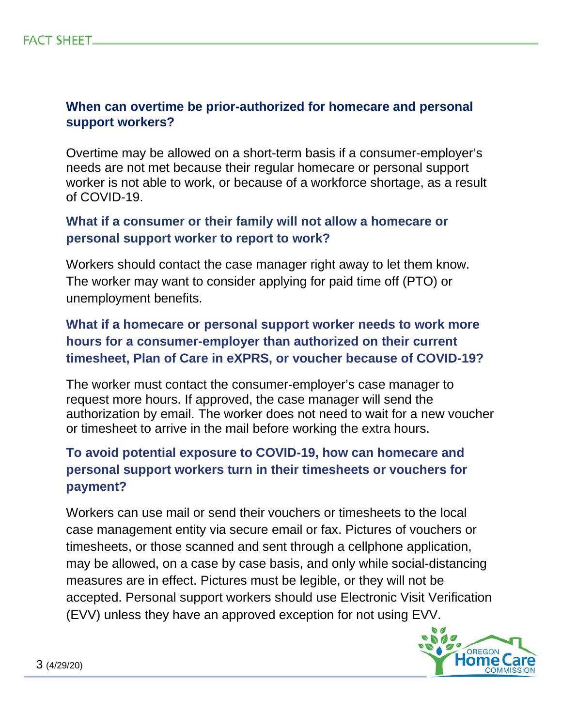#### **When can overtime be prior-authorized for homecare and personal support workers?**

Overtime may be allowed on a short-term basis if a consumer-employer's needs are not met because their regular homecare or personal support worker is not able to work, or because of a workforce shortage, as a result of COVID-19.

## **What if a consumer or their family will not allow a homecare or personal support worker to report to work?**

Workers should contact the case manager right away to let them know. The worker may want to consider applying for paid time off (PTO) or unemployment benefits.

# **What if a homecare or personal support worker needs to work more hours for a consumer-employer than authorized on their current timesheet, Plan of Care in eXPRS, or voucher because of COVID-19?**

The worker must contact the consumer-employer's case manager to request more hours. If approved, the case manager will send the authorization by email. The worker does not need to wait for a new voucher or timesheet to arrive in the mail before working the extra hours.

# **To avoid potential exposure to COVID-19, how can homecare and personal support workers turn in their timesheets or vouchers for payment?**

Workers can use mail or send their vouchers or timesheets to the local case management entity via secure email or fax. Pictures of vouchers or timesheets, or those scanned and sent through a cellphone application, may be allowed, on a case by case basis, and only while social-distancing measures are in effect. Pictures must be legible, or they will not be accepted. Personal support workers should use Electronic Visit Verification (EVV) unless they have an approved exception for not using EVV.

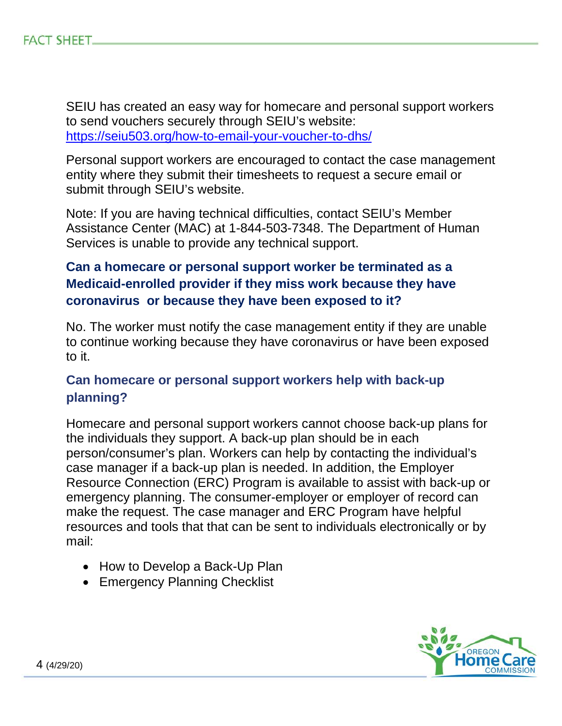SEIU has created an easy way for homecare and personal support workers to send vouchers securely through SEIU's website: <https://seiu503.org/how-to-email-your-voucher-to-dhs/>

Personal support workers are encouraged to contact the case management entity where they submit their timesheets to request a secure email or submit through SEIU's website.

Note: If you are having technical difficulties, contact SEIU's Member Assistance Center (MAC) at 1-844-503-7348. The Department of Human Services is unable to provide any technical support.

## **Can a homecare or personal support worker be terminated as a Medicaid-enrolled provider if they miss work because they have coronavirus or because they have been exposed to it?**

No. The worker must notify the case management entity if they are unable to continue working because they have coronavirus or have been exposed to it.

## **Can homecare or personal support workers help with back-up planning?**

Homecare and personal support workers cannot choose back-up plans for the individuals they support. A back-up plan should be in each person/consumer's plan. Workers can help by contacting the individual's case manager if a back-up plan is needed. In addition, the Employer Resource Connection (ERC) Program is available to assist with back-up or emergency planning. The consumer-employer or employer of record can make the request. The case manager and ERC Program have helpful resources and tools that that can be sent to individuals electronically or by mail:

- How to Develop a Back-Up Plan
- Emergency Planning Checklist

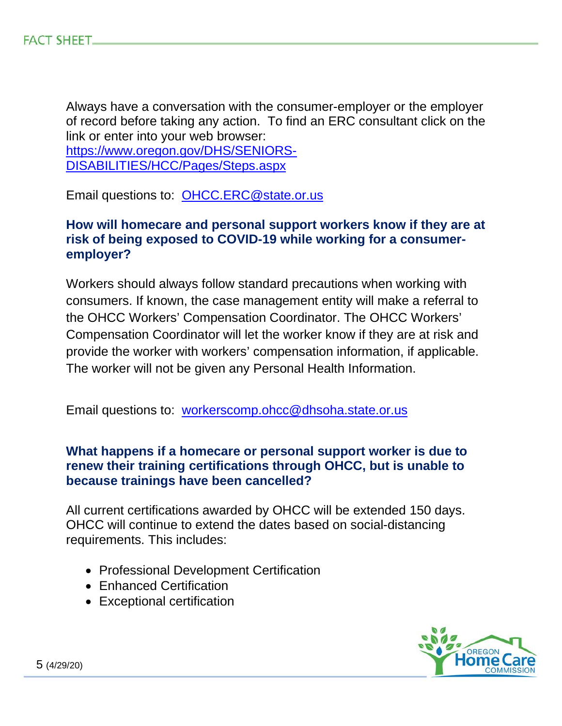Always have a conversation with the consumer-employer or the employer of record before taking any action. To find an ERC consultant click on the link or enter into your web browser:

[https://www.oregon.gov/DHS/SENIORS-](https://www.oregon.gov/DHS/SENIORS-DISABILITIES/HCC/Pages/Steps.aspx)[DISABILITIES/HCC/Pages/Steps.aspx](https://www.oregon.gov/DHS/SENIORS-DISABILITIES/HCC/Pages/Steps.aspx)

Email questions to: [OHCC.ERC@state.or.us](mailto:OHCC.ERC@state.or.us)

#### **How will homecare and personal support workers know if they are at risk of being exposed to COVID-19 while working for a consumeremployer?**

Workers should always follow standard precautions when working with consumers. If known, the case management entity will make a referral to the OHCC Workers' Compensation Coordinator. The OHCC Workers' Compensation Coordinator will let the worker know if they are at risk and provide the worker with workers' compensation information, if applicable. The worker will not be given any Personal Health Information.

Email questions to: [workerscomp.ohcc@dhsoha.state.or.us](mailto:workerscomp.ohcc@dhsoha.state.or.us)

#### **What happens if a homecare or personal support worker is due to renew their training certifications through OHCC, but is unable to because trainings have been cancelled?**

All current certifications awarded by OHCC will be extended 150 days. OHCC will continue to extend the dates based on social-distancing requirements. This includes:

- Professional Development Certification
- Enhanced Certification
- Exceptional certification

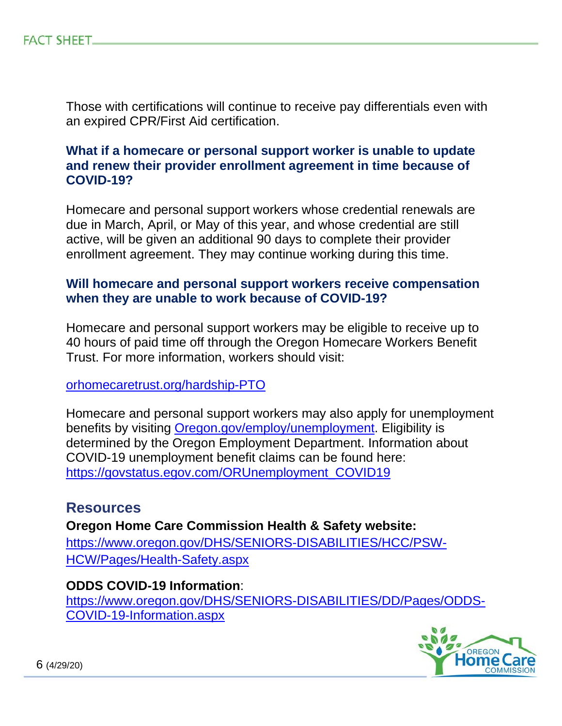Those with certifications will continue to receive pay differentials even with an expired CPR/First Aid certification.

#### **What if a homecare or personal support worker is unable to update and renew their provider enrollment agreement in time because of COVID-19?**

Homecare and personal support workers whose credential renewals are due in March, April, or May of this year, and whose credential are still active, will be given an additional 90 days to complete their provider enrollment agreement. They may continue working during this time.

#### **Will homecare and personal support workers receive compensation when they are unable to work because of COVID-19?**

Homecare and personal support workers may be eligible to receive up to 40 hours of paid time off through the Oregon Homecare Workers Benefit Trust. For more information, workers should visit:

[orhomecaretrust.org/hardship-PTO](https://www.orhomecaretrust.org/hardship-PTO/)

Homecare and personal support workers may also apply for unemployment benefits by visiting [Oregon.gov/employ/unemployment.](https://www.oregon.gov/employ/unemployment/Pages/default.aspx) Eligibility is determined by the Oregon Employment Department. Information about COVID-19 unemployment benefit claims can be found here: [https://govstatus.egov.com/ORUnemployment\\_COVID19](https://govstatus.egov.com/ORUnemployment_COVID19)

## **Resources**

**Oregon Home Care Commission Health & Safety website:** [https://www.oregon.gov/DHS/SENIORS-DISABILITIES/HCC/PSW-](https://www.oregon.gov/DHS/SENIORS-DISABILITIES/HCC/PSW-HCW/Pages/Health-Safety.aspx)[HCW/Pages/Health-Safety.aspx](https://www.oregon.gov/DHS/SENIORS-DISABILITIES/HCC/PSW-HCW/Pages/Health-Safety.aspx) 

#### **ODDS COVID-19 Information**:

[https://www.oregon.gov/DHS/SENIORS-DISABILITIES/DD/Pages/ODDS-](https://www.oregon.gov/DHS/SENIORS-DISABILITIES/DD/Pages/ODDS-COVID-19-Information.aspx)[COVID-19-Information.aspx](https://www.oregon.gov/DHS/SENIORS-DISABILITIES/DD/Pages/ODDS-COVID-19-Information.aspx)